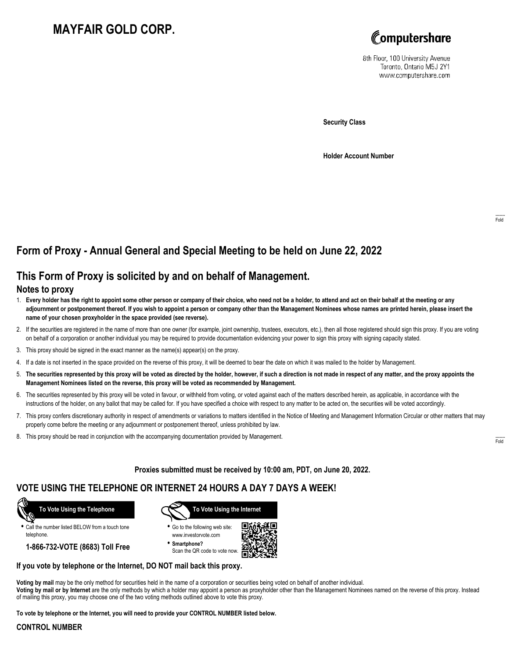# **MAYFAIR GOLD CORP.**



8th Floor, 100 University Avenue Toronto, Ontario M5J 2Y1 www.computershare.com

**Security Class**

**Holder Account Number**

## **Form of Proxy - Annual General and Special Meeting to be held on June 22, 2022**

## **This Form of Proxy is solicited by and on behalf of Management.**

#### **Notes to proxy**

- 1. **Every holder has the right to appoint some other person or company of their choice, who need not be a holder, to attend and act on their behalf at the meeting or any adjournment or postponement thereof. If you wish to appoint a person or company other than the Management Nominees whose names are printed herein, please insert the name of your chosen proxyholder in the space provided (see reverse).**
- 2. If the securities are registered in the name of more than one owner (for example, joint ownership, trustees, executors, etc.), then all those registered should sign this proxy. If you are voting on behalf of a corporation or another individual you may be required to provide documentation evidencing your power to sign this proxy with signing capacity stated.
- 3. This proxy should be signed in the exact manner as the name(s) appear(s) on the proxy.
- 4. If a date is not inserted in the space provided on the reverse of this proxy, it will be deemed to bear the date on which it was mailed to the holder by Management.
- 5. **The securities represented by this proxy will be voted as directed by the holder, however, if such a direction is not made in respect of any matter, and the proxy appoints the Management Nominees listed on the reverse, this proxy will be voted as recommended by Management.**
- 6. The securities represented by this proxy will be voted in favour, or withheld from voting, or voted against each of the matters described herein, as applicable, in accordance with the instructions of the holder, on any ballot that may be called for. If you have specified a choice with respect to any matter to be acted on, the securities will be voted accordingly.
- 7. This proxy confers discretionary authority in respect of amendments or variations to matters identified in the Notice of Meeting and Management Information Circular or other matters that may properly come before the meeting or any adjournment or postponement thereof, unless prohibited by law.
- 8. This proxy should be read in conjunction with the accompanying documentation provided by Management.

**Proxies submitted must be received by 10:00 am, PDT, on June 20, 2022.**

## **VOTE USING THE TELEPHONE OR INTERNET 24 HOURS A DAY 7 DAYS A WEEK!**



**•** Call the number listed BELOW from a touch tone telephone.

**1-866-732-VOTE (8683) Toll Free**



**•** Go to the following web site: www.investorvote.com

**• Smartphone?** Scan the QR code to vote now.



#### **If you vote by telephone or the Internet, DO NOT mail back this proxy.**

**Voting by mail** may be the only method for securities held in the name of a corporation or securities being voted on behalf of another individual. **Voting by mail or by Internet** are the only methods by which a holder may appoint a person as proxyholder other than the Management Nominees named on the reverse of this proxy. Instead of mailing this proxy, you may choose one of the two voting methods outlined above to vote this proxy.

**To vote by telephone or the Internet, you will need to provide your CONTROL NUMBER listed below.**

#### **CONTROL NUMBER**